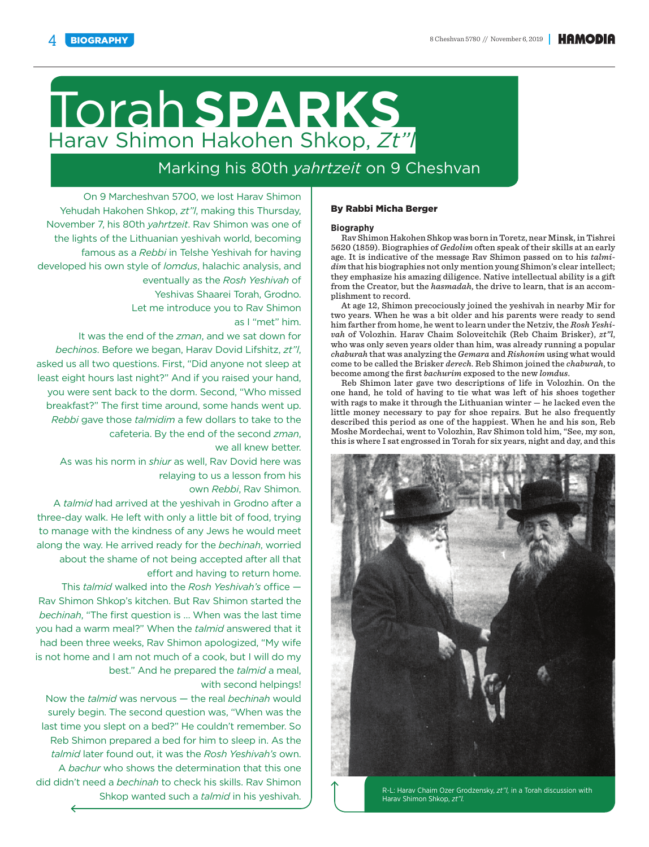# Torah**SPARKS** Harav Shimon Hakohen Shkop, *Zt"l*

# Marking his 80th *yahrtzeit* on 9 Cheshvan

On 9 Marcheshvan 5700, we lost Harav Shimon Yehudah Hakohen Shkop, *zt"l*, making this Thursday, November 7, his 80th *yahrtzeit*. Rav Shimon was one of the lights of the Lithuanian yeshivah world, becoming famous as a *Rebbi* in Telshe Yeshivah for having developed his own style of *lomdus*, halachic analysis, and eventually as the *Rosh Yeshivah* of Yeshivas Shaarei Torah, Grodno. Let me introduce you to Rav Shimon

as I "met" him.

It was the end of the *zman*, and we sat down for *bechinos*. Before we began, Harav Dovid Lifshitz, *zt"l*, asked us all two questions. First, "Did anyone not sleep at least eight hours last night?" And if you raised your hand, you were sent back to the dorm. Second, "Who missed breakfast?" The first time around, some hands went up. *Rebbi* gave those *talmidim* a few dollars to take to the cafeteria. By the end of the second *zman*, we all knew better.

As was his norm in *shiur* as well, Rav Dovid here was relaying to us a lesson from his

own *Rebbi*, Rav Shimon.

A *talmid* had arrived at the yeshivah in Grodno after a three-day walk. He left with only a little bit of food, trying to manage with the kindness of any Jews he would meet along the way. He arrived ready for the *bechinah*, worried about the shame of not being accepted after all that effort and having to return home.

This *talmid* walked into the *Rosh Yeshivah's* office -Rav Shimon Shkop's kitchen. But Rav Shimon started the *bechinah*, "The first question is ... When was the last time you had a warm meal?" When the *talmid* answered that it had been three weeks, Rav Shimon apologized, "My wife is not home and I am not much of a cook, but I will do my best." And he prepared the *talmid* a meal, with second helpings!

Now the *talmid* was nervous — the real *bechinah* would surely begin. The second question was, "When was the last time you slept on a bed?" He couldn't remember. So Reb Shimon prepared a bed for him to sleep in. As the *talmid* later found out, it was the *Rosh Yeshivah's* own. A *bachur* who shows the determination that this one did didn't need a *bechinah* to check his skills. Rav Shimon

## By Rabbi Micha Berger

#### **Biography**

Rav Shimon Hakohen Shkop was born in Toretz, near Minsk, in Tishrei 5620 (1859). Biographies of *Gedolim* often speak of their skills at an early age. It is indicative of the message Rav Shimon passed on to his *talmidim* that his biographies not only mention young Shimon's clear intellect; they emphasize his amazing diligence. Native intellectual ability is a gift from the Creator, but the *hasmadah*, the drive to learn, that is an accomplishment to record.

At age 12, Shimon precociously joined the yeshivah in nearby Mir for two years. When he was a bit older and his parents were ready to send him farther from home, he went to learn under the Netziv, the *Rosh Yeshivah* of Volozhin. Harav Chaim Soloveitchik (Reb Chaim Brisker), *zt"l*, who was only seven years older than him, was already running a popular *chaburah* that was analyzing the *Gemara* and *Rishonim* using what would come to be called the Brisker *derech*. Reb Shimon joined the *chaburah*, to become among the first *bachurim* exposed to the new *lomdus*.

Reb Shimon later gave two descriptions of life in Volozhin. On the one hand, he told of having to tie what was left of his shoes together with rags to make it through the Lithuanian winter — he lacked even the little money necessary to pay for shoe repairs. But he also frequently described this period as one of the happiest. When he and his son, Reb Moshe Mordechai, went to Volozhin, Rav Shimon told him, "See, my son, this is where I sat engrossed in Torah for six years, night and day, and this



Shkop wanted such a *talmid* in his yeshivah. Harav Shimon Shkop, *zt"l.*